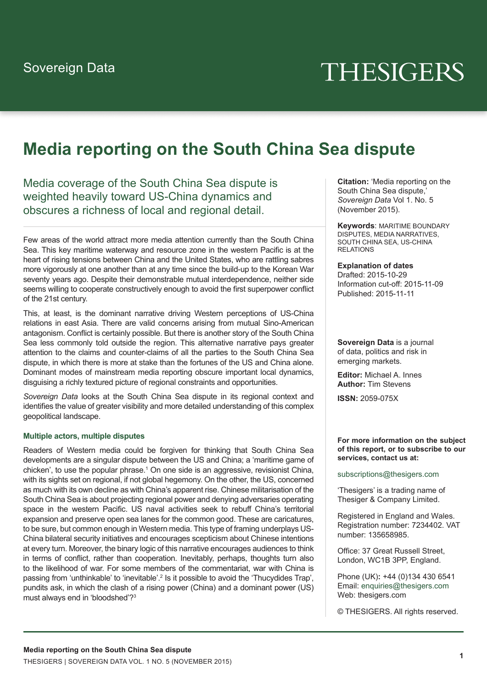# THESIGERS

# **Media reporting on the South China Sea dispute**

Media coverage of the South China Sea dispute is weighted heavily toward US-China dynamics and obscures a richness of local and regional detail.

Few areas of the world attract more media attention currently than the South China Sea. This key maritime waterway and resource zone in the western Pacific is at the heart of rising tensions between China and the United States, who are rattling sabres more vigorously at one another than at any time since the build-up to the Korean War seventy years ago. Despite their demonstrable mutual interdependence, neither side seems willing to cooperate constructively enough to avoid the first superpower conflict of the 21st century.

This, at least, is the dominant narrative driving Western perceptions of US-China relations in east Asia. There are valid concerns arising from mutual Sino-American antagonism. Conflict is certainly possible. But there is another story of the South China Sea less commonly told outside the region. This alternative narrative pays greater attention to the claims and counter-claims of all the parties to the South China Sea dispute, in which there is more at stake than the fortunes of the US and China alone. Dominant modes of mainstream media reporting obscure important local dynamics, disguising a richly textured picture of regional constraints and opportunities.

*Sovereign Data* looks at the South China Sea dispute in its regional context and identifies the value of greater visibility and more detailed understanding of this complex geopolitical landscape.

#### **Multiple actors, multiple disputes**

Readers of Western media could be forgiven for thinking that South China Sea developments are a singular dispute between the US and China; a 'maritime game of chicken', to use the popular phrase.<sup>1</sup> On one side is an aggressive, revisionist China, with its sights set on regional, if not global hegemony. On the other, the US, concerned as much with its own decline as with China's apparent rise. Chinese militarisation of the South China Sea is about projecting regional power and denying adversaries operating space in the western Pacific. US naval activities seek to rebuff China's territorial expansion and preserve open sea lanes for the common good. These are caricatures, to be sure, but common enough in Western media. This type of framing underplays US-China bilateral security initiatives and encourages scepticism about Chinese intentions at every turn. Moreover, the binary logic of this narrative encourages audiences to think in terms of conflict, rather than cooperation. Inevitably, perhaps, thoughts turn also to the likelihood of war. For some members of the commentariat, war with China is passing from 'unthinkable' to 'inevitable'.<sup>2</sup> Is it possible to avoid the 'Thucydides Trap', pundits ask, in which the clash of a rising power (China) and a dominant power (US) must always end in 'bloodshed'?3

**Citation:** 'Media reporting on the South China Sea dispute,' *Sovereign Data* Vol 1. No. 5 (November 2015).

**Keywords**: MARITIME BOUNDARY DISPUTES, MEDIA NARRATIVES, SOUTH CHINA SEA, US-CHINA RELATIONS

**Explanation of dates** Drafted: 2015-10-29 Information cut-off: 2015-11-09 Published: 2015-11-11

**Sovereign Data** is a journal of data, politics and risk in emerging markets.

**Editor:** Michael A. Innes **Author:** Tim Stevens

**ISSN:** 2059-075X

**For more information on the subject of this report, or to subscribe to our services, contact us at:**

subscriptions@thesigers.com

'Thesigers' is a trading name of Thesiger & Company Limited.

Registered in England and Wales. Registration number: 7234402. VAT number: 135658985.

Office: 37 Great Russell Street, London, WC1B 3PP, England.

Phone (UK)**:** +44 (0)134 430 6541 Email: enquiries@thesigers.com Web: thesigers.com

© THESIGERS. All rights reserved.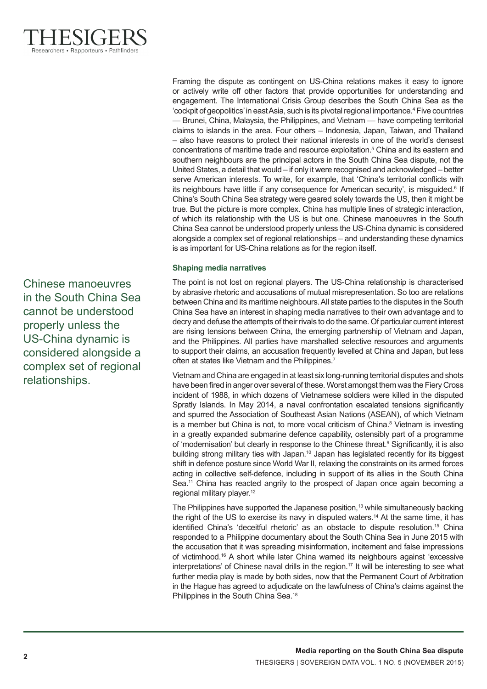Chinese manoeuvres in the South China Sea cannot be understood properly unless the US-China dynamic is considered alongside a complex set of regional relationships.

Framing the dispute as contingent on US-China relations makes it easy to ignore or actively write off other factors that provide opportunities for understanding and engagement. The International Crisis Group describes the South China Sea as the 'cockpit of geopolitics' in east Asia, such is its pivotal regional importance.4 Five countries — Brunei, China, Malaysia, the Philippines, and Vietnam — have competing territorial claims to islands in the area. Four others – Indonesia, Japan, Taiwan, and Thailand – also have reasons to protect their national interests in one of the world's densest concentrations of maritime trade and resource exploitation.5 China and its eastern and southern neighbours are the principal actors in the South China Sea dispute, not the United States, a detail that would – if only it were recognised and acknowledged – better serve American interests. To write, for example, that 'China's territorial conflicts with its neighbours have little if any consequence for American security', is misguided.<sup>6</sup> If China's South China Sea strategy were geared solely towards the US, then it might be true. But the picture is more complex. China has multiple lines of strategic interaction, of which its relationship with the US is but one. Chinese manoeuvres in the South China Sea cannot be understood properly unless the US-China dynamic is considered alongside a complex set of regional relationships – and understanding these dynamics is as important for US-China relations as for the region itself.

# **Shaping media narratives**

The point is not lost on regional players. The US-China relationship is characterised by abrasive rhetoric and accusations of mutual misrepresentation. So too are relations between China and its maritime neighbours. All state parties to the disputes in the South China Sea have an interest in shaping media narratives to their own advantage and to decry and defuse the attempts of their rivals to do the same. Of particular current interest are rising tensions between China, the emerging partnership of Vietnam and Japan, and the Philippines. All parties have marshalled selective resources and arguments to support their claims, an accusation frequently levelled at China and Japan, but less often at states like Vietnam and the Philippines.<sup>7</sup>

Vietnam and China are engaged in at least six long-running territorial disputes and shots have been fired in anger over several of these. Worst amongst them was the Fiery Cross incident of 1988, in which dozens of Vietnamese soldiers were killed in the disputed Spratly Islands. In May 2014, a naval confrontation escalated tensions significantly and spurred the Association of Southeast Asian Nations (ASEAN), of which Vietnam is a member but China is not, to more vocal criticism of China.<sup>8</sup> Vietnam is investing in a greatly expanded submarine defence capability, ostensibly part of a programme of 'modernisation' but clearly in response to the Chinese threat.<sup>9</sup> Significantly, it is also building strong military ties with Japan.<sup>10</sup> Japan has legislated recently for its biggest shift in defence posture since World War II, relaxing the constraints on its armed forces acting in collective self-defence, including in support of its allies in the South China Sea.<sup>11</sup> China has reacted angrily to the prospect of Japan once again becoming a regional military player.<sup>12</sup>

The Philippines have supported the Japanese position,<sup>13</sup> while simultaneously backing the right of the US to exercise its navy in disputed waters.<sup>14</sup> At the same time, it has identified China's 'deceitful rhetoric' as an obstacle to dispute resolution.15 China responded to a Philippine documentary about the South China Sea in June 2015 with the accusation that it was spreading misinformation, incitement and false impressions of victimhood.16 A short while later China warned its neighbours against 'excessive interpretations' of Chinese naval drills in the region.<sup>17</sup> It will be interesting to see what further media play is made by both sides, now that the Permanent Court of Arbitration in the Hague has agreed to adjudicate on the lawfulness of China's claims against the Philippines in the South China Sea.18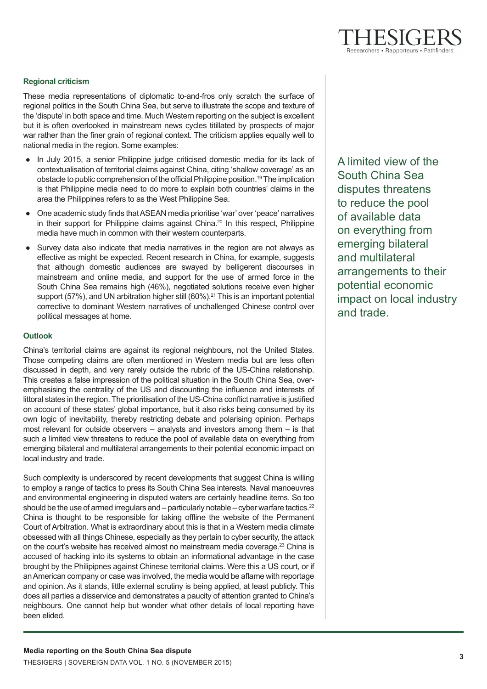## **Regional criticism**

These media representations of diplomatic to-and-fros only scratch the surface of regional politics in the South China Sea, but serve to illustrate the scope and texture of the 'dispute' in both space and time. Much Western reporting on the subject is excellent but it is often overlooked in mainstream news cycles titillated by prospects of major war rather than the finer grain of regional context. The criticism applies equally well to national media in the region. Some examples:

- In July 2015, a senior Philippine judge criticised domestic media for its lack of contextualisation of territorial claims against China, citing 'shallow coverage' as an obstacle to public comprehension of the official Philippine position.<sup>19</sup> The implication is that Philippine media need to do more to explain both countries' claims in the area the Philippines refers to as the West Philippine Sea.
- One academic study finds that ASEAN media prioritise 'war' over 'peace' narratives in their support for Philippine claims against China.<sup>20</sup> In this respect, Philippine media have much in common with their western counterparts.
- Survey data also indicate that media narratives in the region are not always as effective as might be expected. Recent research in China, for example, suggests that although domestic audiences are swayed by belligerent discourses in mainstream and online media, and support for the use of armed force in the South China Sea remains high (46%), negotiated solutions receive even higher support (57%), and UN arbitration higher still  $(60\%)$ .<sup>21</sup> This is an important potential corrective to dominant Western narratives of unchallenged Chinese control over political messages at home.

### **Outlook**

China's territorial claims are against its regional neighbours, not the United States. Those competing claims are often mentioned in Western media but are less often discussed in depth, and very rarely outside the rubric of the US-China relationship. This creates a false impression of the political situation in the South China Sea, overemphasising the centrality of the US and discounting the influence and interests of littoral states in the region. The prioritisation of the US-China conflict narrative is justified on account of these states' global importance, but it also risks being consumed by its own logic of inevitability, thereby restricting debate and polarising opinion. Perhaps most relevant for outside observers – analysts and investors among them – is that such a limited view threatens to reduce the pool of available data on everything from emerging bilateral and multilateral arrangements to their potential economic impact on local industry and trade.

Such complexity is underscored by recent developments that suggest China is willing to employ a range of tactics to press its South China Sea interests. Naval manoeuvres and environmental engineering in disputed waters are certainly headline items. So too should be the use of armed irregulars and – particularly notable – cyber warfare tactics.<sup>22</sup> China is thought to be responsible for taking offline the website of the Permanent Court of Arbitration. What is extraordinary about this is that in a Western media climate obsessed with all things Chinese, especially as they pertain to cyber security, the attack on the court's website has received almost no mainstream media coverage.23 China is accused of hacking into its systems to obtain an informational advantage in the case brought by the Philipipnes against Chinese territorial claims. Were this a US court, or if an American company or case was involved, the media would be aflame with reportage and opinion. As it stands, little external scrutiny is being applied, at least publicly. This does all parties a disservice and demonstrates a paucity of attention granted to China's neighbours. One cannot help but wonder what other details of local reporting have been elided.

A limited view of the South China Sea disputes threatens to reduce the pool of available data on everything from emerging bilateral and multilateral arrangements to their potential economic impact on local industry and trade.